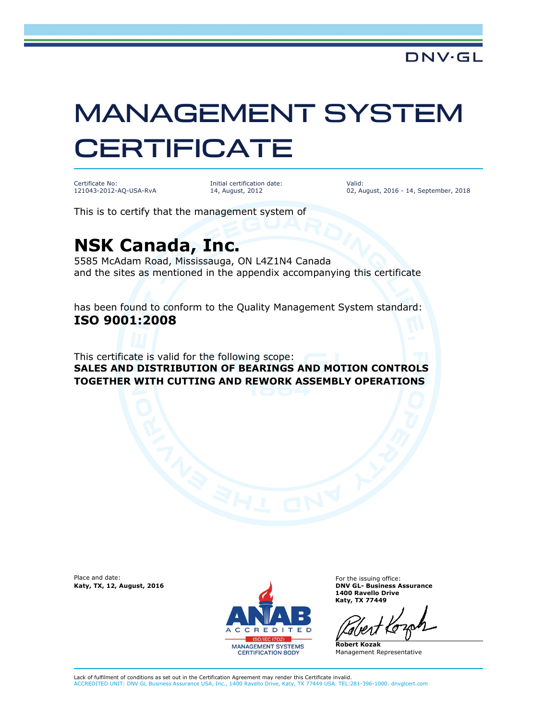## MANAGEMENT SYSTEM **CERTIFICATE**

Certificate No: 121043-2012-AQ-USA-RvA Initial certification date: 14, August, 2012

Valid: 02, August, 2016 - 14, September, 2018

This is to certify that the management system of

## **NSK Canada, Inc.**

5585 McAdam Road, Mississauga, ON L4Z1N4 Canada and the sites as mentioned in the appendix accompanying this certificate

has been found to conform to the Quality Management System standard: **ISO 9001:2008** 

This certificate is valid for the following scope: **SALES AND DISTRIBUTION OF BEARINGS AND MOTION CONTROLS TOGETHER WITH CUTTING AND REWORK ASSEMBLY OPERATIONS**

Place and date:



For the issuing office: **1400 Ravello Drive Katy, TX 77449**

**Robert Kozak** Management Representative

Lack of fulfilment of conditions as set out in the Certification Agreement may render this Certificate invalid. ACCREDITED UNIT: DNV GL Business Assurance USA, Inc., 1400 Ravello Drive, Katy, TX 77449 USA. TEL:281-396-1000. dnvglcert.com